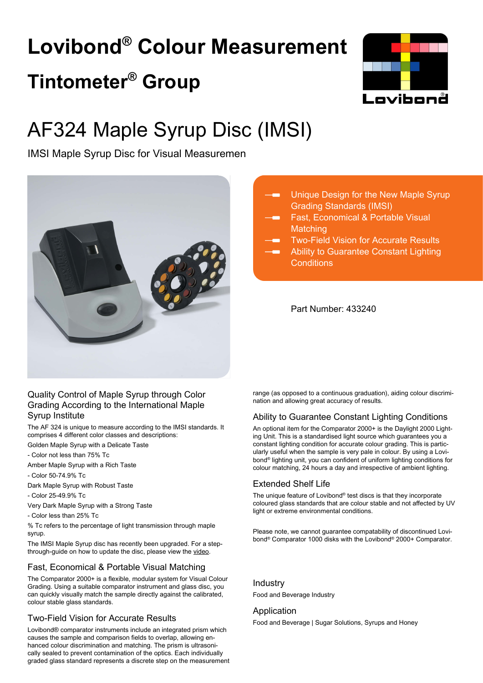# **Lovibond® Colour Measurement Tintometer® Group**



## AF324 Maple Syrup Disc (IMSI)

IMSI Maple Syrup Disc for Visual Measuremen



#### Unique Design for the New Maple Syrup Grading Standards (IMSI)

- Fast, Economical & Portable Visual **Matching**
- Two-Field Vision for Accurate Results
- Ability to Guarantee Constant Lighting **Conditions**

Part Number: 433240

#### Quality Control of Maple Syrup through Color Grading According to the International Maple Syrup Institute

The AF 324 is unique to measure according to the IMSI standards. It comprises 4 different color classes and descriptions:

Golden Maple Syrup with a Delicate Taste

- Color not less than 75% Tc
- Amber Maple Syrup with a Rich Taste
- Color 50-74.9% Tc
- Dark Maple Syrup with Robust Taste
- Color 25-49.9% Tc
- Very Dark Maple Syrup with a Strong Taste
- Color less than 25% Tc

% Tc refers to the percentage of light transmission through maple syrup.

The IMSI Maple Syrup disc has recently been upgraded. For a stepthrough-guide on how to update the disc, please view the [video.](https://www.youtube.com/watch?v=3gjXPYJE-AU)

#### Fast, Economical & Portable Visual Matching

The Comparator 2000+ is a flexible, modular system for Visual Colour Grading. Using a suitable comparator instrument and glass disc, you can quickly visually match the sample directly against the calibrated, colour stable glass standards.

#### Two-Field Vision for Accurate Results

Lovibond® comparator instruments include an integrated prism which causes the sample and comparison fields to overlap, allowing enhanced colour discrimination and matching. The prism is ultrasonically sealed to prevent contamination of the optics. Each individually graded glass standard represents a discrete step on the measurement range (as opposed to a continuous graduation), aiding colour discrimination and allowing great accuracy of results.

#### Ability to Guarantee Constant Lighting Conditions

An optional item for the Comparator 2000+ is the Daylight 2000 Lighting Unit. This is a standardised light source which guarantees you a constant lighting condition for accurate colour grading. This is particularly useful when the sample is very pale in colour. By using a Lovibond® lighting unit, you can confident of uniform lighting conditions for colour matching, 24 hours a day and irrespective of ambient lighting.

#### Extended Shelf Life

The unique feature of Lovibond® test discs is that they incorporate coloured glass standards that are colour stable and not affected by UV light or extreme environmental conditions.

Please note, we cannot guarantee compatability of discontinued Lovibond® Comparator 1000 disks with the Lovibond® 2000+ Comparator.

Industry Food and Beverage Industry

#### **Application**

Food and Beverage | Sugar Solutions, Syrups and Honey